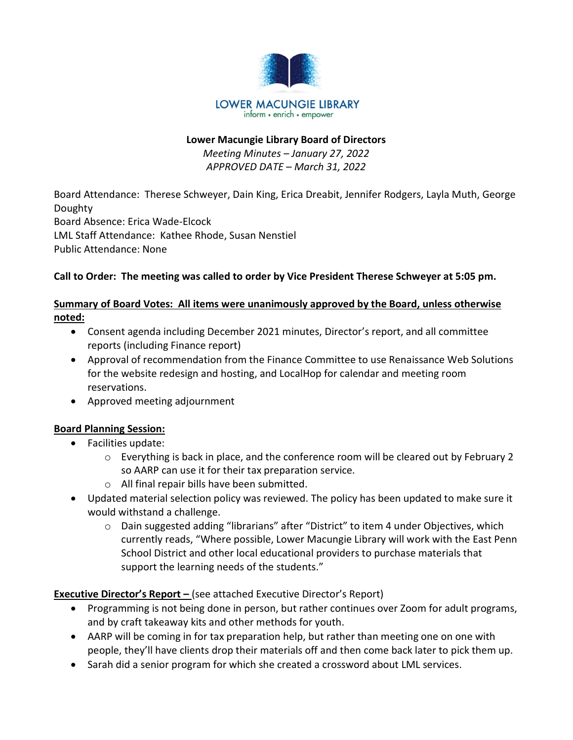

#### Lower Macungie Library Board of Directors

Meeting Minutes – January 27, 2022 APPROVED DATE – March 31, 2022

Board Attendance: Therese Schweyer, Dain King, Erica Dreabit, Jennifer Rodgers, Layla Muth, George Doughty Board Absence: Erica Wade-Elcock LML Staff Attendance: Kathee Rhode, Susan Nenstiel Public Attendance: None

## Call to Order: The meeting was called to order by Vice President Therese Schweyer at 5:05 pm.

## Summary of Board Votes: All items were unanimously approved by the Board, unless otherwise noted:

- Consent agenda including December 2021 minutes, Director's report, and all committee reports (including Finance report)
- Approval of recommendation from the Finance Committee to use Renaissance Web Solutions for the website redesign and hosting, and LocalHop for calendar and meeting room reservations.
- Approved meeting adjournment

## Board Planning Session:

- Facilities update:
	- o Everything is back in place, and the conference room will be cleared out by February 2 so AARP can use it for their tax preparation service.
	- o All final repair bills have been submitted.
- Updated material selection policy was reviewed. The policy has been updated to make sure it would withstand a challenge.
	- o Dain suggested adding "librarians" after "District" to item 4 under Objectives, which currently reads, "Where possible, Lower Macungie Library will work with the East Penn School District and other local educational providers to purchase materials that support the learning needs of the students."

## **Executive Director's Report –** (see attached Executive Director's Report)

- Programming is not being done in person, but rather continues over Zoom for adult programs, and by craft takeaway kits and other methods for youth.
- AARP will be coming in for tax preparation help, but rather than meeting one on one with people, they'll have clients drop their materials off and then come back later to pick them up.
- Sarah did a senior program for which she created a crossword about LML services.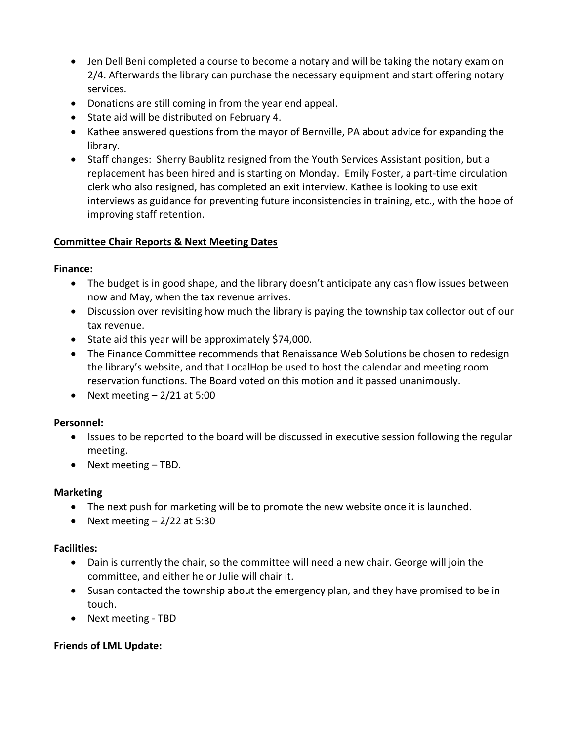- Jen Dell Beni completed a course to become a notary and will be taking the notary exam on 2/4. Afterwards the library can purchase the necessary equipment and start offering notary services.
- Donations are still coming in from the year end appeal.
- State aid will be distributed on February 4.
- Kathee answered questions from the mayor of Bernville, PA about advice for expanding the library.
- Staff changes: Sherry Baublitz resigned from the Youth Services Assistant position, but a replacement has been hired and is starting on Monday. Emily Foster, a part-time circulation clerk who also resigned, has completed an exit interview. Kathee is looking to use exit interviews as guidance for preventing future inconsistencies in training, etc., with the hope of improving staff retention.

## Committee Chair Reports & Next Meeting Dates

#### Finance:

- The budget is in good shape, and the library doesn't anticipate any cash flow issues between now and May, when the tax revenue arrives.
- Discussion over revisiting how much the library is paying the township tax collector out of our tax revenue.
- State aid this year will be approximately \$74,000.
- The Finance Committee recommends that Renaissance Web Solutions be chosen to redesign the library's website, and that LocalHop be used to host the calendar and meeting room reservation functions. The Board voted on this motion and it passed unanimously.
- Next meeting  $-2/21$  at 5:00

## Personnel:

- Issues to be reported to the board will be discussed in executive session following the regular meeting.
- Next meeting TBD.

## Marketing

- The next push for marketing will be to promote the new website once it is launched.
- Next meeting  $-2/22$  at 5:30

## Facilities:

- Dain is currently the chair, so the committee will need a new chair. George will join the committee, and either he or Julie will chair it.
- Susan contacted the township about the emergency plan, and they have promised to be in touch.
- Next meeting TBD

## Friends of LML Update: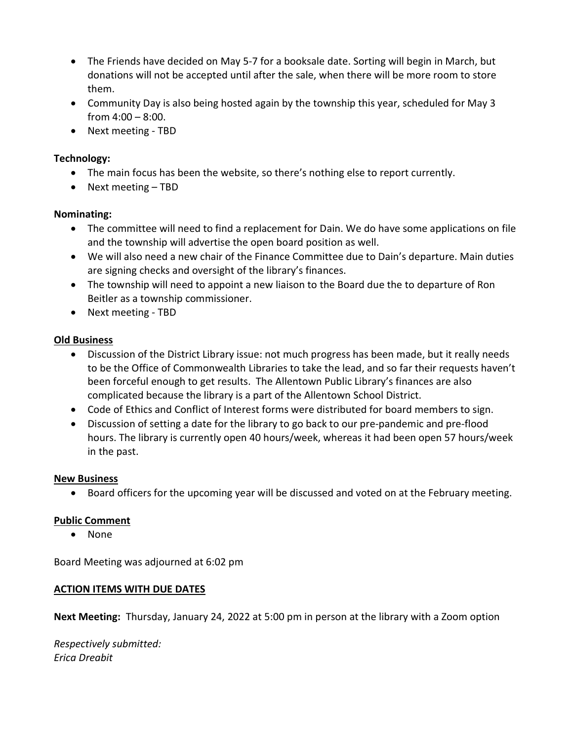- The Friends have decided on May 5-7 for a booksale date. Sorting will begin in March, but donations will not be accepted until after the sale, when there will be more room to store them.
- Community Day is also being hosted again by the township this year, scheduled for May 3 from  $4:00 - 8:00$ .
- Next meeting TBD

## Technology:

- The main focus has been the website, so there's nothing else to report currently.
- Next meeting TBD

## Nominating:

- The committee will need to find a replacement for Dain. We do have some applications on file and the township will advertise the open board position as well.
- We will also need a new chair of the Finance Committee due to Dain's departure. Main duties are signing checks and oversight of the library's finances.
- The township will need to appoint a new liaison to the Board due the to departure of Ron Beitler as a township commissioner.
- Next meeting TBD

## Old Business

- Discussion of the District Library issue: not much progress has been made, but it really needs to be the Office of Commonwealth Libraries to take the lead, and so far their requests haven't been forceful enough to get results. The Allentown Public Library's finances are also complicated because the library is a part of the Allentown School District.
- Code of Ethics and Conflict of Interest forms were distributed for board members to sign.
- Discussion of setting a date for the library to go back to our pre-pandemic and pre-flood hours. The library is currently open 40 hours/week, whereas it had been open 57 hours/week in the past.

## New Business

Board officers for the upcoming year will be discussed and voted on at the February meeting.

# Public Comment

• None

Board Meeting was adjourned at 6:02 pm

## ACTION ITEMS WITH DUE DATES

Next Meeting: Thursday, January 24, 2022 at 5:00 pm in person at the library with a Zoom option

Respectively submitted: Erica Dreabit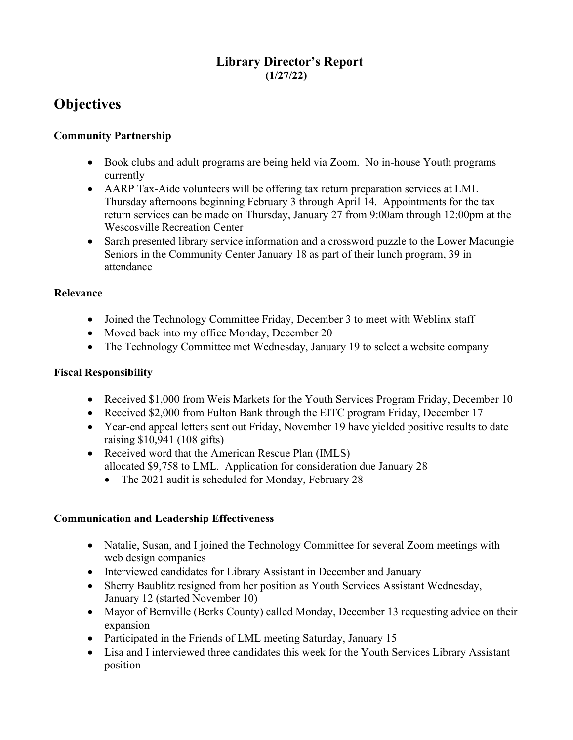# Library Director's Report (1/27/22)

# **Objectives**

## Community Partnership

- Book clubs and adult programs are being held via Zoom. No in-house Youth programs currently
- AARP Tax-Aide volunteers will be offering tax return preparation services at LML Thursday afternoons beginning February 3 through April 14. Appointments for the tax return services can be made on Thursday, January 27 from 9:00am through 12:00pm at the Wescosville Recreation Center
- Sarah presented library service information and a crossword puzzle to the Lower Macungie Seniors in the Community Center January 18 as part of their lunch program, 39 in attendance

## Relevance

- Joined the Technology Committee Friday, December 3 to meet with Weblinx staff
- Moved back into my office Monday, December 20
- The Technology Committee met Wednesday, January 19 to select a website company

## Fiscal Responsibility

- Received \$1,000 from Weis Markets for the Youth Services Program Friday, December 10
- Received \$2,000 from Fulton Bank through the EITC program Friday, December 17
- Year-end appeal letters sent out Friday, November 19 have yielded positive results to date raising \$10,941 (108 gifts)
- Received word that the American Rescue Plan (IMLS) allocated \$9,758 to LML. Application for consideration due January 28
	- The 2021 audit is scheduled for Monday, February 28

## Communication and Leadership Effectiveness

- Natalie, Susan, and I joined the Technology Committee for several Zoom meetings with web design companies
- Interviewed candidates for Library Assistant in December and January
- Sherry Baublitz resigned from her position as Youth Services Assistant Wednesday, January 12 (started November 10)
- Mayor of Bernville (Berks County) called Monday, December 13 requesting advice on their expansion
- Participated in the Friends of LML meeting Saturday, January 15
- Lisa and I interviewed three candidates this week for the Youth Services Library Assistant position